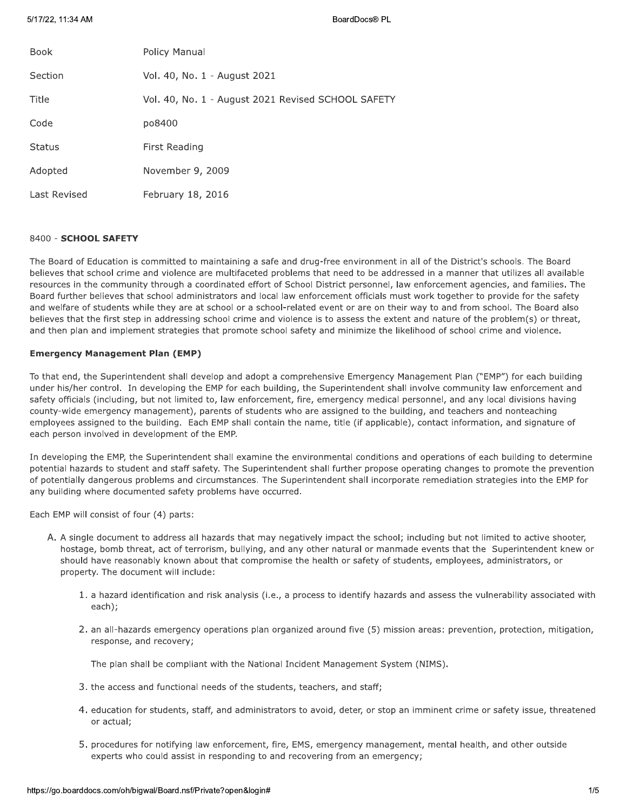BoardDocs® PL

| <b>Book</b>   | Policy Manual                                      |
|---------------|----------------------------------------------------|
| Section       | Vol. 40, No. 1 - August 2021                       |
| Title         | Vol. 40, No. 1 - August 2021 Revised SCHOOL SAFETY |
| Code          | po8400                                             |
| <b>Status</b> | First Reading                                      |
| Adopted       | November 9, 2009                                   |
| Last Revised  | February 18, 2016                                  |

# 8400 - SCHOOL SAFETY

The Board of Education is committed to maintaining a safe and drug-free environment in all of the District's schools. The Board believes that school crime and violence are multifaceted problems that need to be addressed in a manner that utilizes all available resources in the community through a coordinated effort of School District personnel, law enforcement agencies, and families. The Board further believes that school administrators and local law enforcement officials must work together to provide for the safety and welfare of students while they are at school or a school-related event or are on their way to and from school. The Board also believes that the first step in addressing school crime and violence is to assess the extent and nature of the problem(s) or threat, and then plan and implement strategies that promote school safety and minimize the likelihood of school crime and violence.

#### **Emergency Management Plan (EMP)**

To that end, the Superintendent shall develop and adopt a comprehensive Emergency Management Plan ("EMP") for each building under his/her control. In developing the EMP for each building, the Superintendent shall involve community law enforcement and safety officials (including, but not limited to, law enforcement, fire, emergency medical personnel, and any local divisions having county-wide emergency management), parents of students who are assigned to the building, and teachers and nonteaching employees assigned to the building. Each EMP shall contain the name, title (if applicable), contact information, and signature of each person involved in development of the EMP.

In developing the EMP, the Superintendent shall examine the environmental conditions and operations of each building to determine potential hazards to student and staff safety. The Superintendent shall further propose operating changes to promote the prevention of potentially dangerous problems and circumstances. The Superintendent shall incorporate remediation strategies into the EMP for any building where documented safety problems have occurred.

Each EMP will consist of four (4) parts:

- A. A single document to address all hazards that may negatively impact the school; including but not limited to active shooter, hostage, bomb threat, act of terrorism, bullying, and any other natural or manmade events that the Superintendent knew or should have reasonably known about that compromise the health or safety of students, employees, administrators, or property. The document will include:
	- 1. a hazard identification and risk analysis (i.e., a process to identify hazards and assess the vulnerability associated with each);
	- 2. an all-hazards emergency operations plan organized around five (5) mission areas: prevention, protection, mitigation, response, and recovery;

The plan shall be compliant with the National Incident Management System (NIMS).

- 3. the access and functional needs of the students, teachers, and staff;
- 4. education for students, staff, and administrators to avoid, deter, or stop an imminent crime or safety issue, threatened or actual;
- 5. procedures for notifying law enforcement, fire, EMS, emergency management, mental health, and other outside experts who could assist in responding to and recovering from an emergency;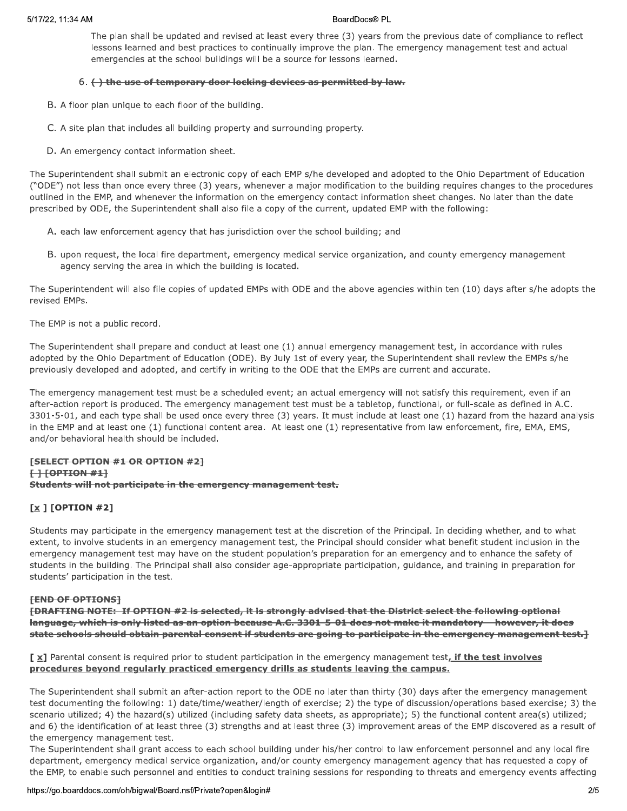#### BoardDocs® PL

The plan shall be updated and revised at least every three (3) years from the previous date of compliance to reflect lessons learned and best practices to continually improve the plan. The emergency management test and actual emergencies at the school buildings will be a source for lessons learned.

# 6. () the use of temporary door locking devices as permitted by law.

- B. A floor plan unique to each floor of the building.
- C. A site plan that includes all building property and surrounding property.
- D. An emergency contact information sheet.

The Superintendent shall submit an electronic copy of each EMP s/he developed and adopted to the Ohio Department of Education ("ODE") not less than once every three (3) years, whenever a major modification to the building requires changes to the procedures outlined in the EMP, and whenever the information on the emergency contact information sheet changes. No later than the date prescribed by ODE, the Superintendent shall also file a copy of the current, updated EMP with the following:

- A. each law enforcement agency that has jurisdiction over the school building; and
- B. upon request, the local fire department, emergency medical service organization, and county emergency management agency serving the area in which the building is located.

The Superintendent will also file copies of updated EMPs with ODE and the above agencies within ten (10) days after s/he adopts the revised EMPs.

The EMP is not a public record.

The Superintendent shall prepare and conduct at least one (1) annual emergency management test, in accordance with rules adopted by the Ohio Department of Education (ODE). By July 1st of every year, the Superintendent shall review the EMPs s/he previously developed and adopted, and certify in writing to the ODE that the EMPs are current and accurate.

The emergency management test must be a scheduled event; an actual emergency will not satisfy this requirement, even if an after-action report is produced. The emergency management test must be a tabletop, functional, or full-scale as defined in A.C. 3301-5-01, and each type shall be used once every three (3) years. It must include at least one (1) hazard from the hazard analysis in the EMP and at least one (1) functional content area. At least one (1) representative from law enforcement, fire, EMA, EMS, and/or behavioral health should be included.

# **[SELECT OPTION #1 OR OPTION #2]**

# $~~[1~~$  [OPTION #1]</del> Students will not participate in the emergency management test.

# [ $\times$ ] [OPTION #2]

Students may participate in the emergency management test at the discretion of the Principal. In deciding whether, and to what extent, to involve students in an emergency management test, the Principal should consider what benefit student inclusion in the emergency management test may have on the student population's preparation for an emergency and to enhance the safety of students in the building. The Principal shall also consider age-appropriate participation, quidance, and training in preparation for students' participation in the test.

## **FEND OF OPTIONST**

**FDRAFTING NOTE: If OPTION #2 is selected, it is strongly advised that the District select the following optional** language, which is only listed as an option because A.C. 3301-5-01 does not make it mandatory - however, it does state schools should obtain parental consent if students are going to participate in the emergency management test.]

[x] Parental consent is required prior to student participation in the emergency management test, if the test involves procedures beyond regularly practiced emergency drills as students leaving the campus.

The Superintendent shall submit an after-action report to the ODE no later than thirty (30) days after the emergency management test documenting the following: 1) date/time/weather/length of exercise; 2) the type of discussion/operations based exercise; 3) the scenario utilized; 4) the hazard(s) utilized (including safety data sheets, as appropriate); 5) the functional content area(s) utilized; and 6) the identification of at least three (3) strengths and at least three (3) improvement areas of the EMP discovered as a result of the emergency management test.

The Superintendent shall grant access to each school building under his/her control to law enforcement personnel and any local fire department, emergency medical service organization, and/or county emergency management agency that has requested a copy of the EMP, to enable such personnel and entities to conduct training sessions for responding to threats and emergency events affecting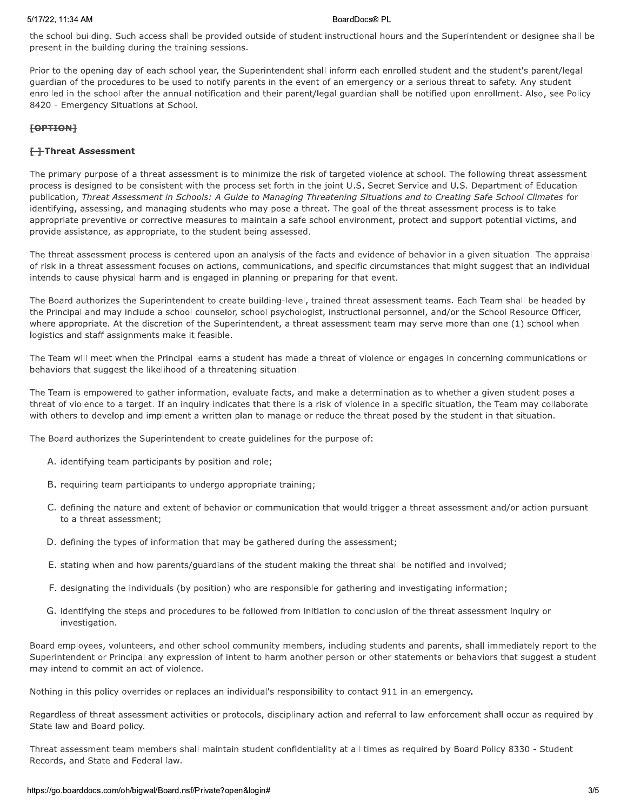#### BoardDocs® PL

the school building. Such access shall be provided outside of student instructional hours and the Superintendent or designee shall be present in the building during the training sessions.

Prior to the opening day of each school year, the Superintendent shall inform each enrolled student and the student's parent/legal guardian of the procedures to be used to notify parents in the event of an emergency or a serious threat to safety. Any student enrolled in the school after the annual notification and their parent/legal guardian shall be notified upon enrollment. Also, see Policy 8420 - Emergency Situations at School.

## [OPTION]

## *Exeriber Exerges* Figures

The primary purpose of a threat assessment is to minimize the risk of targeted violence at school. The following threat assessment process is designed to be consistent with the process set forth in the joint U.S. Secret Service and U.S. Department of Education publication, Threat Assessment in Schools: A Guide to Managing Threatening Situations and to Creating Safe School Climates for identifying, assessing, and managing students who may pose a threat. The goal of the threat assessment process is to take appropriate preventive or corrective measures to maintain a safe school environment, protect and support potential victims, and provide assistance, as appropriate, to the student being assessed.

The threat assessment process is centered upon an analysis of the facts and evidence of behavior in a given situation. The appraisal of risk in a threat assessment focuses on actions, communications, and specific circumstances that might suggest that an individual intends to cause physical harm and is engaged in planning or preparing for that event.

The Board authorizes the Superintendent to create building-level, trained threat assessment teams. Each Team shall be headed by the Principal and may include a school counselor, school psychologist, instructional personnel, and/or the School Resource Officer, where appropriate. At the discretion of the Superintendent, a threat assessment team may serve more than one (1) school when logistics and staff assignments make it feasible.

The Team will meet when the Principal learns a student has made a threat of violence or engages in concerning communications or behaviors that suggest the likelihood of a threatening situation.

The Team is empowered to gather information, evaluate facts, and make a determination as to whether a given student poses a threat of violence to a target. If an inquiry indicates that there is a risk of violence in a specific situation, the Team may collaborate with others to develop and implement a written plan to manage or reduce the threat posed by the student in that situation.

The Board authorizes the Superintendent to create quidelines for the purpose of:

- A. identifying team participants by position and role;
- B. requiring team participants to undergo appropriate training;
- C. defining the nature and extent of behavior or communication that would trigger a threat assessment and/or action pursuant to a threat assessment;
- D. defining the types of information that may be gathered during the assessment;
- E. stating when and how parents/guardians of the student making the threat shall be notified and involved;
- F. designating the individuals (by position) who are responsible for gathering and investigating information;
- G. identifying the steps and procedures to be followed from initiation to conclusion of the threat assessment inquiry or investigation.

Board employees, volunteers, and other school community members, including students and parents, shall immediately report to the Superintendent or Principal any expression of intent to harm another person or other statements or behaviors that suggest a student may intend to commit an act of violence.

Nothing in this policy overrides or replaces an individual's responsibility to contact 911 in an emergency.

Regardless of threat assessment activities or protocols, disciplinary action and referral to law enforcement shall occur as required by State law and Board policy.

Threat assessment team members shall maintain student confidentiality at all times as required by Board Policy 8330 - Student Records, and State and Federal law.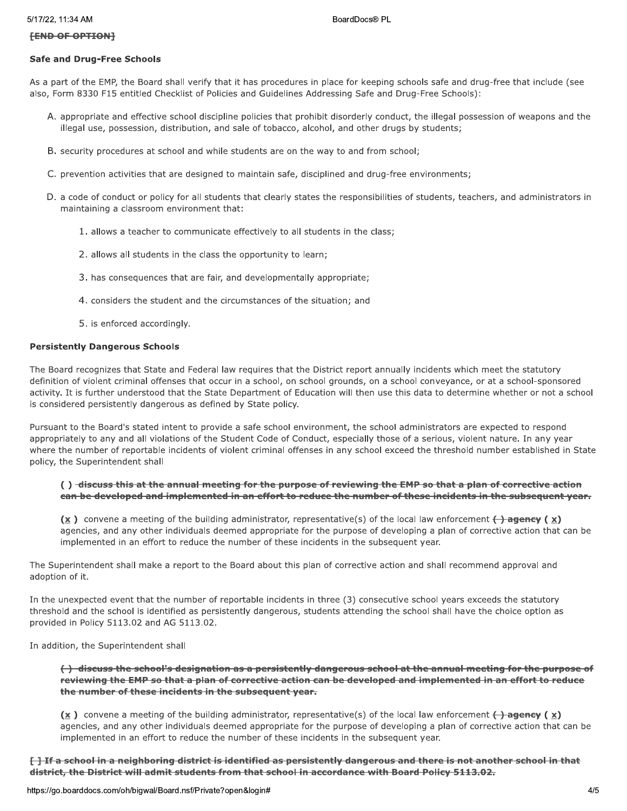## **FEND OF OPTION1**

#### **Safe and Drug-Free Schools**

As a part of the EMP, the Board shall verify that it has procedures in place for keeping schools safe and drug-free that include (see also, Form 8330 F15 entitled Checklist of Policies and Guidelines Addressing Safe and Drug-Free Schools):

- A. appropriate and effective school discipline policies that prohibit disorderly conduct, the illegal possession of weapons and the illegal use, possession, distribution, and sale of tobacco, alcohol, and other drugs by students;
- B. security procedures at school and while students are on the way to and from school;
- C. prevention activities that are designed to maintain safe, disciplined and drug-free environments;
- D. a code of conduct or policy for all students that clearly states the responsibilities of students, teachers, and administrators in maintaining a classroom environment that:
	- 1. allows a teacher to communicate effectively to all students in the class;
	- 2. allows all students in the class the opportunity to learn;
	- 3. has consequences that are fair, and developmentally appropriate;
	- 4. considers the student and the circumstances of the situation; and
	- 5. is enforced accordingly.

#### **Persistently Dangerous Schools**

The Board recognizes that State and Federal law requires that the District report annually incidents which meet the statutory definition of violent criminal offenses that occur in a school, on school grounds, on a school conveyance, or at a school-sponsored activity. It is further understood that the State Department of Education will then use this data to determine whether or not a school is considered persistently dangerous as defined by State policy.

Pursuant to the Board's stated intent to provide a safe school environment, the school administrators are expected to respond appropriately to any and all violations of the Student Code of Conduct, especially those of a serious, violent nature. In any year where the number of reportable incidents of violent criminal offenses in any school exceed the threshold number established in State policy, the Superintendent shall

## () discuss this at the annual meeting for the purpose of reviewing the EMP so that a plan of corrective action can be developed and implemented in an effort to reduce the number of these incidents in the subsequent year.

(x) convene a meeting of the building administrator, representative(s) of the local law enforcement (+) agency (x) agencies, and any other individuals deemed appropriate for the purpose of developing a plan of corrective action that can be implemented in an effort to reduce the number of these incidents in the subsequent year.

The Superintendent shall make a report to the Board about this plan of corrective action and shall recommend approval and adoption of it.

In the unexpected event that the number of reportable incidents in three (3) consecutive school years exceeds the statutory threshold and the school is identified as persistently dangerous, students attending the school shall have the choice option as provided in Policy 5113.02 and AG 5113.02.

In addition, the Superintendent shall

() discuss the school's designation as a persistently dangerous school at the annual meeting for the purpose of reviewing the EMP so that a plan of corrective action can be developed and implemented in an effort to reduce the number of these incidents in the subsequent year.

 $(x)$  convene a meeting of the building administrator, representative(s) of the local law enforcement  $\left(\frac{1}{2} + \frac{1}{2} + \frac{1}{2} + \frac{1}{2} + \frac{1}{2} + \frac{1}{2} + \frac{1}{2} + \frac{1}{2} + \frac{1}{2} + \frac{1}{2} + \frac{1}{2} + \frac{1}{2} + \frac{1}{2} + \frac{1}{2} + \frac{1}{$ agencies, and any other individuals deemed appropriate for the purpose of developing a plan of corrective action that can be implemented in an effort to reduce the number of these incidents in the subsequent year.

[ ] If a school in a neighboring district is identified as persistently dangerous and there is not another school in that district, the District will admit students from that school in accordance with Board Policy 5113.02.

https://go.boarddocs.com/oh/bigwal/Board.nsf/Private?open&login#